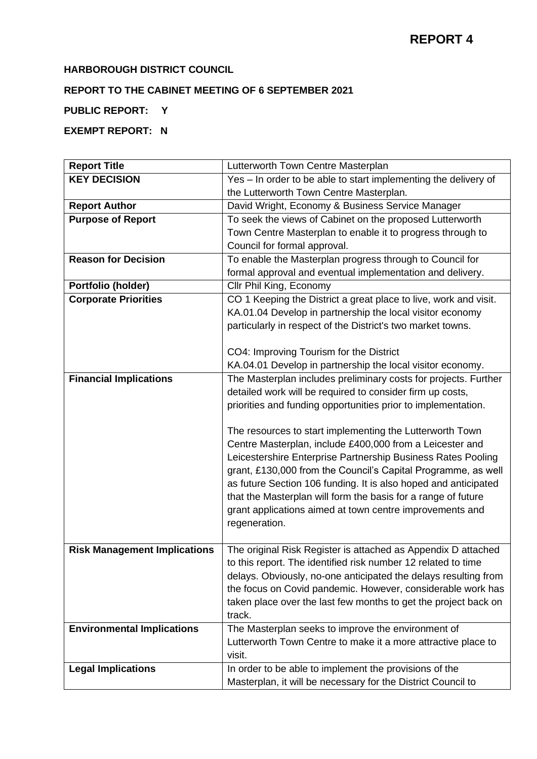# **HARBOROUGH DISTRICT COUNCIL**

# **REPORT TO THE CABINET MEETING OF 6 SEPTEMBER 2021**

## **PUBLIC REPORT: Y**

# **EXEMPT REPORT: N**

| <b>Report Title</b>                 | Lutterworth Town Centre Masterplan                                                                                                                                                                                                                                                                                                                                                                                                                                     |
|-------------------------------------|------------------------------------------------------------------------------------------------------------------------------------------------------------------------------------------------------------------------------------------------------------------------------------------------------------------------------------------------------------------------------------------------------------------------------------------------------------------------|
| <b>KEY DECISION</b>                 | Yes - In order to be able to start implementing the delivery of                                                                                                                                                                                                                                                                                                                                                                                                        |
|                                     | the Lutterworth Town Centre Masterplan.                                                                                                                                                                                                                                                                                                                                                                                                                                |
| <b>Report Author</b>                | David Wright, Economy & Business Service Manager                                                                                                                                                                                                                                                                                                                                                                                                                       |
| <b>Purpose of Report</b>            | To seek the views of Cabinet on the proposed Lutterworth                                                                                                                                                                                                                                                                                                                                                                                                               |
|                                     | Town Centre Masterplan to enable it to progress through to                                                                                                                                                                                                                                                                                                                                                                                                             |
|                                     | Council for formal approval.                                                                                                                                                                                                                                                                                                                                                                                                                                           |
| <b>Reason for Decision</b>          | To enable the Masterplan progress through to Council for                                                                                                                                                                                                                                                                                                                                                                                                               |
|                                     | formal approval and eventual implementation and delivery.                                                                                                                                                                                                                                                                                                                                                                                                              |
| Portfolio (holder)                  | Cllr Phil King, Economy                                                                                                                                                                                                                                                                                                                                                                                                                                                |
| <b>Corporate Priorities</b>         | CO 1 Keeping the District a great place to live, work and visit.                                                                                                                                                                                                                                                                                                                                                                                                       |
|                                     | KA.01.04 Develop in partnership the local visitor economy                                                                                                                                                                                                                                                                                                                                                                                                              |
|                                     | particularly in respect of the District's two market towns.                                                                                                                                                                                                                                                                                                                                                                                                            |
|                                     |                                                                                                                                                                                                                                                                                                                                                                                                                                                                        |
|                                     | CO4: Improving Tourism for the District                                                                                                                                                                                                                                                                                                                                                                                                                                |
|                                     | KA.04.01 Develop in partnership the local visitor economy.                                                                                                                                                                                                                                                                                                                                                                                                             |
| <b>Financial Implications</b>       | The Masterplan includes preliminary costs for projects. Further                                                                                                                                                                                                                                                                                                                                                                                                        |
|                                     | detailed work will be required to consider firm up costs,                                                                                                                                                                                                                                                                                                                                                                                                              |
|                                     | priorities and funding opportunities prior to implementation.                                                                                                                                                                                                                                                                                                                                                                                                          |
|                                     | The resources to start implementing the Lutterworth Town<br>Centre Masterplan, include £400,000 from a Leicester and<br>Leicestershire Enterprise Partnership Business Rates Pooling<br>grant, £130,000 from the Council's Capital Programme, as well<br>as future Section 106 funding. It is also hoped and anticipated<br>that the Masterplan will form the basis for a range of future<br>grant applications aimed at town centre improvements and<br>regeneration. |
| <b>Risk Management Implications</b> | The original Risk Register is attached as Appendix D attached<br>to this report. The identified risk number 12 related to time<br>delays. Obviously, no-one anticipated the delays resulting from<br>the focus on Covid pandemic. However, considerable work has<br>taken place over the last few months to get the project back on<br>track.                                                                                                                          |
| <b>Environmental Implications</b>   | The Masterplan seeks to improve the environment of<br>Lutterworth Town Centre to make it a more attractive place to<br>visit.                                                                                                                                                                                                                                                                                                                                          |
| <b>Legal Implications</b>           | In order to be able to implement the provisions of the                                                                                                                                                                                                                                                                                                                                                                                                                 |
|                                     | Masterplan, it will be necessary for the District Council to                                                                                                                                                                                                                                                                                                                                                                                                           |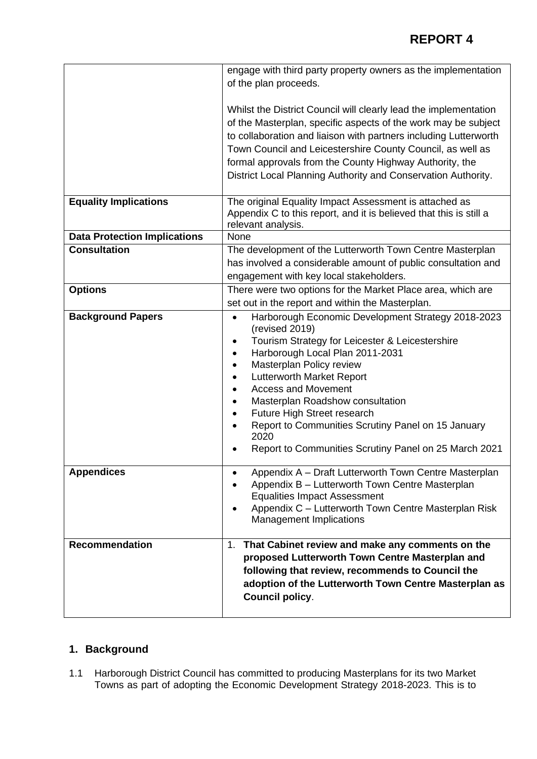|                                     | engage with third party property owners as the implementation                                                                                                                                                                                                                                                                                                                                                                                                                                                                                              |
|-------------------------------------|------------------------------------------------------------------------------------------------------------------------------------------------------------------------------------------------------------------------------------------------------------------------------------------------------------------------------------------------------------------------------------------------------------------------------------------------------------------------------------------------------------------------------------------------------------|
|                                     | of the plan proceeds.                                                                                                                                                                                                                                                                                                                                                                                                                                                                                                                                      |
|                                     | Whilst the District Council will clearly lead the implementation<br>of the Masterplan, specific aspects of the work may be subject<br>to collaboration and liaison with partners including Lutterworth<br>Town Council and Leicestershire County Council, as well as<br>formal approvals from the County Highway Authority, the<br>District Local Planning Authority and Conservation Authority.                                                                                                                                                           |
| <b>Equality Implications</b>        | The original Equality Impact Assessment is attached as<br>Appendix C to this report, and it is believed that this is still a<br>relevant analysis.                                                                                                                                                                                                                                                                                                                                                                                                         |
| <b>Data Protection Implications</b> | None                                                                                                                                                                                                                                                                                                                                                                                                                                                                                                                                                       |
| <b>Consultation</b>                 | The development of the Lutterworth Town Centre Masterplan                                                                                                                                                                                                                                                                                                                                                                                                                                                                                                  |
|                                     | has involved a considerable amount of public consultation and                                                                                                                                                                                                                                                                                                                                                                                                                                                                                              |
|                                     | engagement with key local stakeholders.                                                                                                                                                                                                                                                                                                                                                                                                                                                                                                                    |
| <b>Options</b>                      | There were two options for the Market Place area, which are                                                                                                                                                                                                                                                                                                                                                                                                                                                                                                |
|                                     | set out in the report and within the Masterplan.                                                                                                                                                                                                                                                                                                                                                                                                                                                                                                           |
| <b>Background Papers</b>            | Harborough Economic Development Strategy 2018-2023<br>$\bullet$<br>(revised 2019)<br>Tourism Strategy for Leicester & Leicestershire<br>$\bullet$<br>Harborough Local Plan 2011-2031<br>$\bullet$<br>Masterplan Policy review<br>$\bullet$<br><b>Lutterworth Market Report</b><br>$\bullet$<br><b>Access and Movement</b><br>$\bullet$<br>Masterplan Roadshow consultation<br>$\bullet$<br>Future High Street research<br>$\bullet$<br>Report to Communities Scrutiny Panel on 15 January<br>2020<br>Report to Communities Scrutiny Panel on 25 March 2021 |
| <b>Appendices</b>                   | Appendix A - Draft Lutterworth Town Centre Masterplan<br>Appendix B - Lutterworth Town Centre Masterplan<br><b>Equalities Impact Assessment</b><br>Appendix C - Lutterworth Town Centre Masterplan Risk<br>$\bullet$<br><b>Management Implications</b>                                                                                                                                                                                                                                                                                                     |
| <b>Recommendation</b>               | 1. That Cabinet review and make any comments on the<br>proposed Lutterworth Town Centre Masterplan and<br>following that review, recommends to Council the<br>adoption of the Lutterworth Town Centre Masterplan as<br><b>Council policy.</b>                                                                                                                                                                                                                                                                                                              |

# **1. Background**

1.1 Harborough District Council has committed to producing Masterplans for its two Market Towns as part of adopting the Economic Development Strategy 2018-2023. This is to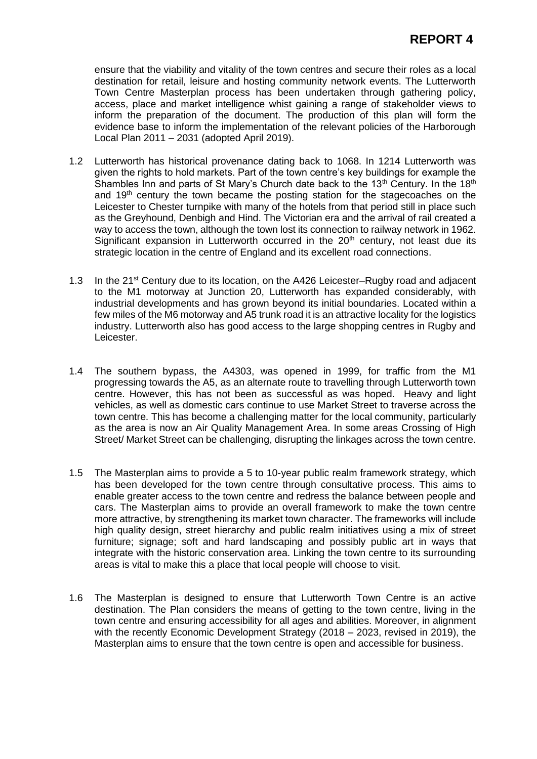ensure that the viability and vitality of the town centres and secure their roles as a local destination for retail, leisure and hosting community network events. The Lutterworth Town Centre Masterplan process has been undertaken through gathering policy, access, place and market intelligence whist gaining a range of stakeholder views to inform the preparation of the document. The production of this plan will form the evidence base to inform the implementation of the relevant policies of the Harborough Local Plan 2011 – 2031 (adopted April 2019).

- 1.2 Lutterworth has historical provenance dating back to 1068. In 1214 Lutterworth was given the rights to hold markets. Part of the town centre's key buildings for example the Shambles Inn and parts of St Mary's Church date back to the  $13<sup>th</sup>$  Century. In the  $18<sup>th</sup>$ and  $19<sup>th</sup>$  century the town became the posting station for the stagecoaches on the Leicester to Chester turnpike with many of the hotels from that period still in place such as the Greyhound, Denbigh and Hind. The Victorian era and the arrival of rail created a way to access the town, although the town lost its connection to railway network in 1962. Significant expansion in Lutterworth occurred in the  $20<sup>th</sup>$  century, not least due its strategic location in the centre of England and its excellent road connections.
- 1.3 In the 21<sup>st</sup> Century due to its location, on the A426 Leicester–Rugby road and adjacent to the M1 motorway at Junction 20, Lutterworth has expanded considerably, with industrial developments and has grown beyond its initial boundaries. Located within a few miles of the M6 motorway and A5 trunk road it is an attractive locality for the logistics industry. Lutterworth also has good access to the large shopping centres in Rugby and Leicester.
- 1.4 The southern bypass, the A4303, was opened in 1999, for traffic from the M1 progressing towards the A5, as an alternate route to travelling through Lutterworth town centre. However, this has not been as successful as was hoped. Heavy and light vehicles, as well as domestic cars continue to use Market Street to traverse across the town centre. This has become a challenging matter for the local community, particularly as the area is now an Air Quality Management Area. In some areas Crossing of High Street/ Market Street can be challenging, disrupting the linkages across the town centre.
- 1.5 The Masterplan aims to provide a 5 to 10-year public realm framework strategy, which has been developed for the town centre through consultative process. This aims to enable greater access to the town centre and redress the balance between people and cars. The Masterplan aims to provide an overall framework to make the town centre more attractive, by strengthening its market town character. The frameworks will include high quality design, street hierarchy and public realm initiatives using a mix of street furniture; signage; soft and hard landscaping and possibly public art in ways that integrate with the historic conservation area. Linking the town centre to its surrounding areas is vital to make this a place that local people will choose to visit.
- 1.6 The Masterplan is designed to ensure that Lutterworth Town Centre is an active destination. The Plan considers the means of getting to the town centre, living in the town centre and ensuring accessibility for all ages and abilities. Moreover, in alignment with the recently Economic Development Strategy (2018 – 2023, revised in 2019), the Masterplan aims to ensure that the town centre is open and accessible for business.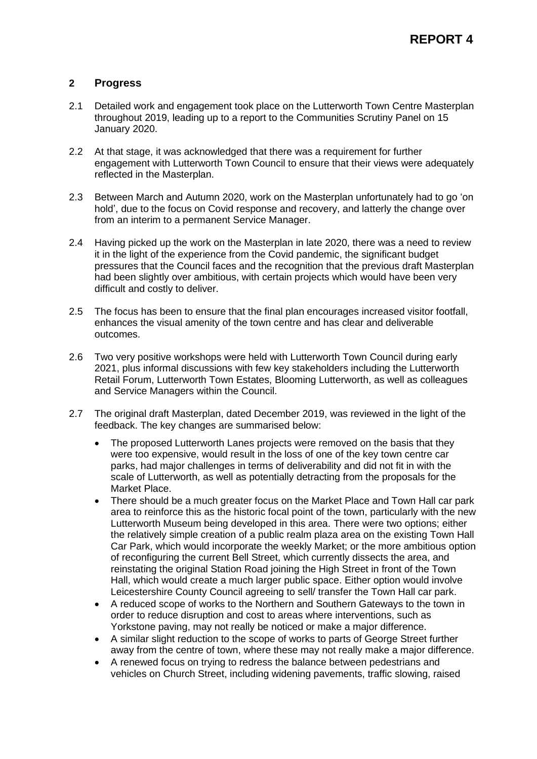## **2 Progress**

- 2.1 Detailed work and engagement took place on the Lutterworth Town Centre Masterplan throughout 2019, leading up to a report to the Communities Scrutiny Panel on 15 January 2020.
- 2.2 At that stage, it was acknowledged that there was a requirement for further engagement with Lutterworth Town Council to ensure that their views were adequately reflected in the Masterplan.
- 2.3 Between March and Autumn 2020, work on the Masterplan unfortunately had to go 'on hold', due to the focus on Covid response and recovery, and latterly the change over from an interim to a permanent Service Manager.
- 2.4 Having picked up the work on the Masterplan in late 2020, there was a need to review it in the light of the experience from the Covid pandemic, the significant budget pressures that the Council faces and the recognition that the previous draft Masterplan had been slightly over ambitious, with certain projects which would have been very difficult and costly to deliver.
- 2.5 The focus has been to ensure that the final plan encourages increased visitor footfall, enhances the visual amenity of the town centre and has clear and deliverable outcomes.
- 2.6 Two very positive workshops were held with Lutterworth Town Council during early 2021, plus informal discussions with few key stakeholders including the Lutterworth Retail Forum, Lutterworth Town Estates, Blooming Lutterworth, as well as colleagues and Service Managers within the Council.
- 2.7 The original draft Masterplan, dated December 2019, was reviewed in the light of the feedback. The key changes are summarised below:
	- The proposed Lutterworth Lanes projects were removed on the basis that they were too expensive, would result in the loss of one of the key town centre car parks, had major challenges in terms of deliverability and did not fit in with the scale of Lutterworth, as well as potentially detracting from the proposals for the Market Place.
	- There should be a much greater focus on the Market Place and Town Hall car park area to reinforce this as the historic focal point of the town, particularly with the new Lutterworth Museum being developed in this area. There were two options; either the relatively simple creation of a public realm plaza area on the existing Town Hall Car Park, which would incorporate the weekly Market; or the more ambitious option of reconfiguring the current Bell Street, which currently dissects the area, and reinstating the original Station Road joining the High Street in front of the Town Hall, which would create a much larger public space. Either option would involve Leicestershire County Council agreeing to sell/ transfer the Town Hall car park.
	- A reduced scope of works to the Northern and Southern Gateways to the town in order to reduce disruption and cost to areas where interventions, such as Yorkstone paving, may not really be noticed or make a major difference.
	- A similar slight reduction to the scope of works to parts of George Street further away from the centre of town, where these may not really make a major difference.
	- A renewed focus on trying to redress the balance between pedestrians and vehicles on Church Street, including widening pavements, traffic slowing, raised